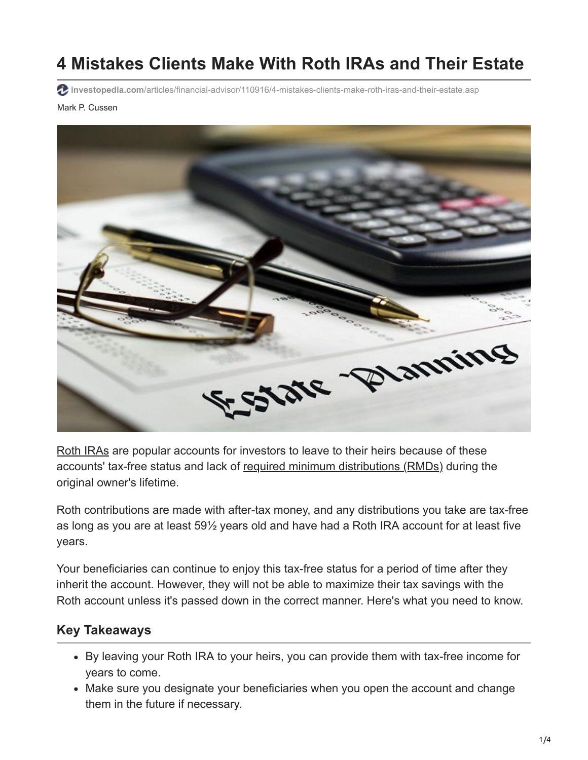# **4 Mistakes Clients Make With Roth IRAs and Their Estate**

**investopedia.com**[/articles/financial-advisor/110916/4-mistakes-clients-make-roth-iras-and-their-estate.asp](https://www.investopedia.com/articles/financial-advisor/110916/4-mistakes-clients-make-roth-iras-and-their-estate.asp)

#### Mark P. Cussen



[Roth IRAs](https://www.investopedia.com/terms/r/rothira.asp) are popular accounts for investors to leave to their heirs because of these accounts' tax-free status and lack of [required minimum distributions \(RMDs\)](https://www.investopedia.com/terms/r/requiredminimumdistribution.asp) during the original owner's lifetime.

Roth contributions are made with after-tax money, and any distributions you take are tax-free as long as you are at least 59½ years old and have had a Roth IRA account for at least five years.

Your beneficiaries can continue to enjoy this tax-free status for a period of time after they inherit the account. However, they will not be able to maximize their tax savings with the Roth account unless it's passed down in the correct manner. Here's what you need to know.

#### **Key Takeaways**

- By leaving your Roth IRA to your heirs, you can provide them with tax-free income for years to come.
- Make sure you designate your beneficiaries when you open the account and change them in the future if necessary.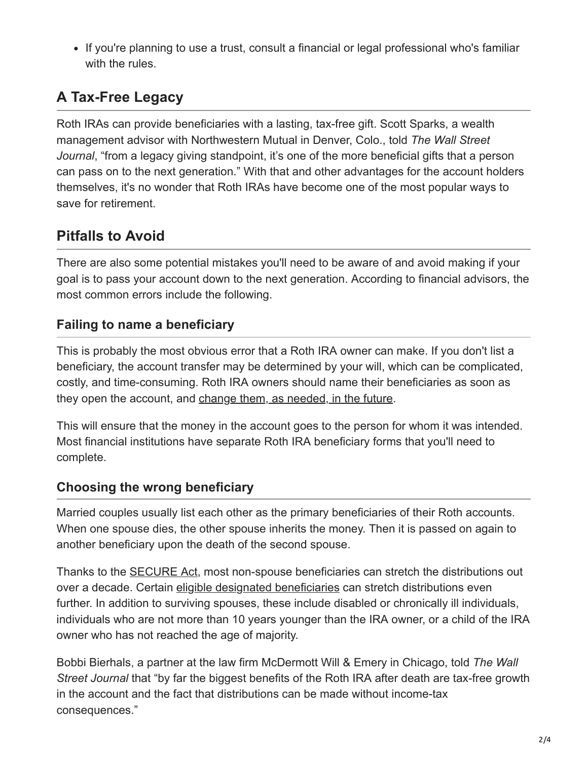• If you're planning to use a trust, consult a financial or legal professional who's familiar with the rules.

# **A Tax-Free Legacy**

Roth IRAs can provide beneficiaries with a lasting, tax-free gift. Scott Sparks, a wealth management advisor with Northwestern Mutual in Denver, Colo., told *The Wall Street Journal*, "from a legacy giving standpoint, it's one of the more beneficial gifts that a person can pass on to the next generation." With that and other advantages for the account holders themselves, it's no wonder that Roth IRAs have become one of the most popular ways to save for retirement.

# **Pitfalls to Avoid**

There are also some potential mistakes you'll need to be aware of and avoid making if your goal is to pass your account down to the next generation. According to financial advisors, the most common errors include the following.

#### **Failing to name a beneficiary**

This is probably the most obvious error that a Roth IRA owner can make. If you don't list a beneficiary, the account transfer may be determined by your will, which can be complicated, costly, and time-consuming. Roth IRA owners should name their beneficiaries as soon as they open the account, and [change them, as needed, in the future.](https://www.investopedia.com/retirement/importance-updating-retirement-account-beneficiaries/)

This will ensure that the money in the account goes to the person for whom it was intended. Most financial institutions have separate Roth IRA beneficiary forms that you'll need to complete.

#### **Choosing the wrong beneficiary**

Married couples usually list each other as the primary beneficiaries of their Roth accounts. When one spouse dies, the other spouse inherits the money. Then it is passed on again to another beneficiary upon the death of the second spouse.

Thanks to the [SECURE Act,](https://www.investopedia.com/secure-act-4688468) most non-spouse beneficiaries can stretch the distributions out over a decade. Certain [eligible designated beneficiaries](https://www.investopedia.com/eligible-designated-beneficiary-definition-5025191) can stretch distributions even further. In addition to surviving spouses, these include disabled or chronically ill individuals, individuals who are not more than 10 years younger than the IRA owner, or a child of the IRA owner who has not reached the age of majority.

Bobbi Bierhals, a partner at the law firm McDermott Will & Emery in Chicago, told *The Wall Street Journal* that "by far the biggest benefits of the Roth IRA after death are tax-free growth in the account and the fact that distributions can be made without income-tax consequences."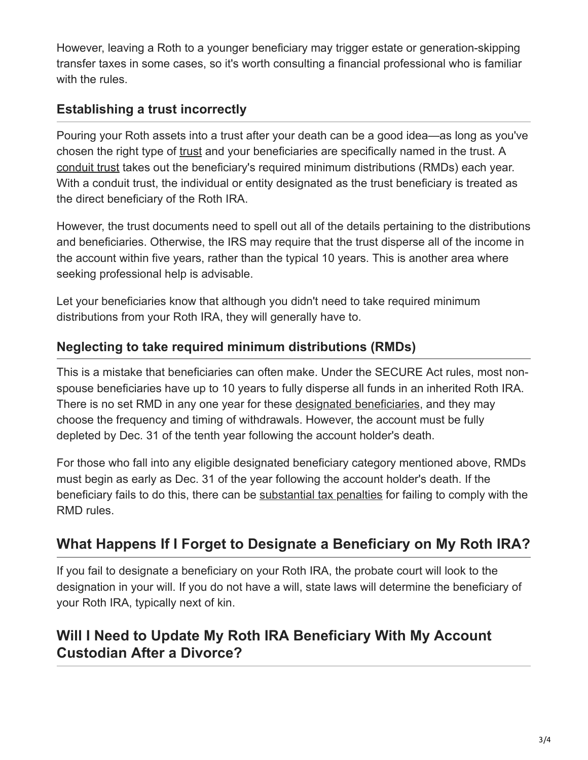However, leaving a Roth to a younger beneficiary may trigger estate or generation-skipping transfer taxes in some cases, so it's worth consulting a financial professional who is familiar with the rules.

#### **Establishing a trust incorrectly**

Pouring your Roth assets into a trust after your death can be a good idea—as long as you've chosen the right type of [trust](https://www.investopedia.com/terms/t/trust.asp) and your beneficiaries are specifically named in the trust. A [conduit trust](https://www.investopedia.com/retirement/designating-trust-as-retirement-beneficiary/) takes out the beneficiary's required minimum distributions (RMDs) each year. With a conduit trust, the individual or entity designated as the trust beneficiary is treated as the direct beneficiary of the Roth IRA.

However, the trust documents need to spell out all of the details pertaining to the distributions and beneficiaries. Otherwise, the IRS may require that the trust disperse all of the income in the account within five years, rather than the typical 10 years. This is another area where seeking professional help is advisable.

Let your beneficiaries know that although you didn't need to take required minimum distributions from your Roth IRA, they will generally have to.

### **Neglecting to take required minimum distributions (RMDs)**

This is a mistake that beneficiaries can often make. Under the SECURE Act rules, most nonspouse beneficiaries have up to 10 years to fully disperse all funds in an inherited Roth IRA. There is no set RMD in any one year for these [designated beneficiaries](https://www.investopedia.com/terms/d/designated-beneficiary.asp), and they may choose the frequency and timing of withdrawals. However, the account must be fully depleted by Dec. 31 of the tenth year following the account holder's death.

For those who fall into any eligible designated beneficiary category mentioned above, RMDs must begin as early as Dec. 31 of the year following the account holder's death. If the beneficiary fails to do this, there can be [substantial tax penalties](https://www.investopedia.com/articles/personal-finance/102815/rules-rmds-ira-beneficiaries.asp) for failing to comply with the RMD rules.

## **What Happens If I Forget to Designate a Beneficiary on My Roth IRA?**

If you fail to designate a beneficiary on your Roth IRA, the probate court will look to the designation in your will. If you do not have a will, state laws will determine the beneficiary of your Roth IRA, typically next of kin.

## **Will I Need to Update My Roth IRA Beneficiary With My Account Custodian After a Divorce?**